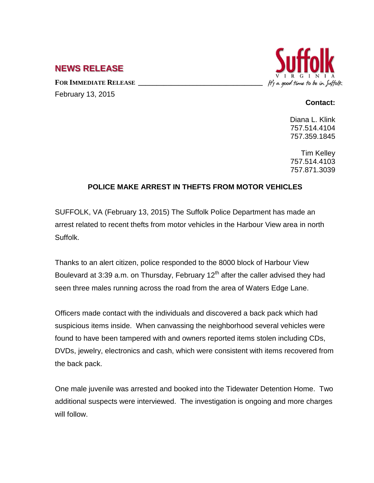## **NEWS RELEASE**

FOR IMMEDIATE RELEASE February 13, 2015



## **Contact:**

Diana L. Klink 757.514.4104 757.359.1845

Tim Kelley 757.514.4103 757.871.3039

## **POLICE MAKE ARREST IN THEFTS FROM MOTOR VEHICLES**

SUFFOLK, VA (February 13, 2015) The Suffolk Police Department has made an arrest related to recent thefts from motor vehicles in the Harbour View area in north Suffolk.

Thanks to an alert citizen, police responded to the 8000 block of Harbour View Boulevard at 3:39 a.m. on Thursday, February  $12<sup>th</sup>$  after the caller advised they had seen three males running across the road from the area of Waters Edge Lane.

Officers made contact with the individuals and discovered a back pack which had suspicious items inside. When canvassing the neighborhood several vehicles were found to have been tampered with and owners reported items stolen including CDs, DVDs, jewelry, electronics and cash, which were consistent with items recovered from the back pack.

One male juvenile was arrested and booked into the Tidewater Detention Home. Two additional suspects were interviewed. The investigation is ongoing and more charges will follow.